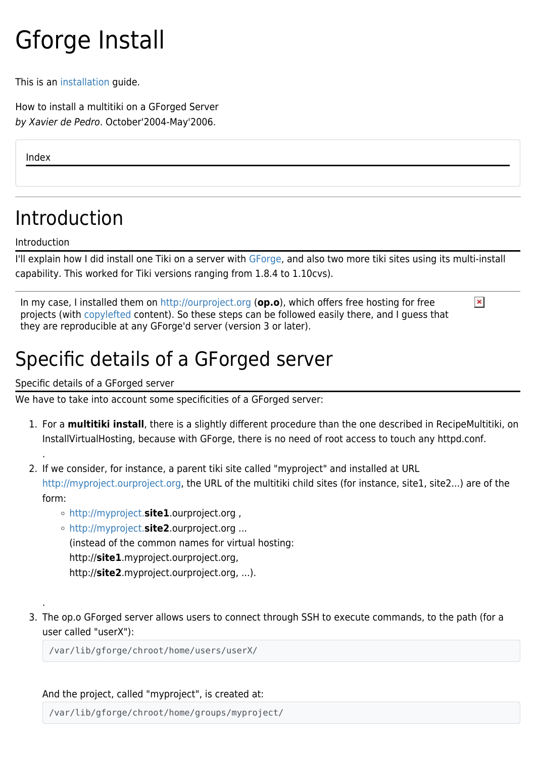# Gforge Install

This is an [installation](https://doc.tiki.org/Installation) guide.

How to install a multitiki on a GForged Server by [Xavier de Pedro](https://doc.tiki.org/tiki-editpage.php?page=USerPagexavidp). October'2004-May'2006.

Index

# Introduction

Introduction

.

.

I'll explain how I did install one Tiki on a server with [GForge,](http://www.gforge.com) and also two more tiki sites using its multi-install capability. This worked for Tiki versions ranging from 1.8.4 to 1.10cvs).

 $\pmb{\times}$ 

In my case, I installed them on<http://ourproject.org> (**op.o**), which offers free hosting for free projects (with [copylefted](http://www.gnu.org/copyleft/copyleft.html) content). So these steps can be followed easily there, and I guess that they are reproducible at any GForge'd server (version 3 or later).

# Specific details of a GForged server

Specific details of a GForged server

We have to take into account some specificities of a GForged server:

- 1. For a **multitiki install**, there is a slightly different procedure than the one described in RecipeMultitiki, on InstallVirtualHosting, because with GForge, there is no need of root access to touch any httpd.conf.
- 2. If we consider, for instance, a parent tiki site called "myproject" and installed at URL <http://myproject.ourproject.org>, the URL of the multitiki child sites (for instance, site1, site2...) are of the form:
	- <http://myproject.>**site1**.ourproject.org ,
	- <http://myproject.>**site2**.ourproject.org ... (instead of the common names for virtual hosting: http://**site1**.myproject.ourproject.org, http://**site2**.myproject.ourproject.org, ...).
- 3. The op.o GForged server allows users to connect through SSH to execute commands, to the path (for a user called "userX"):

/var/lib/gforge/chroot/home/users/userX/

And the project, called "myproject", is created at:

/var/lib/gforge/chroot/home/groups/myproject/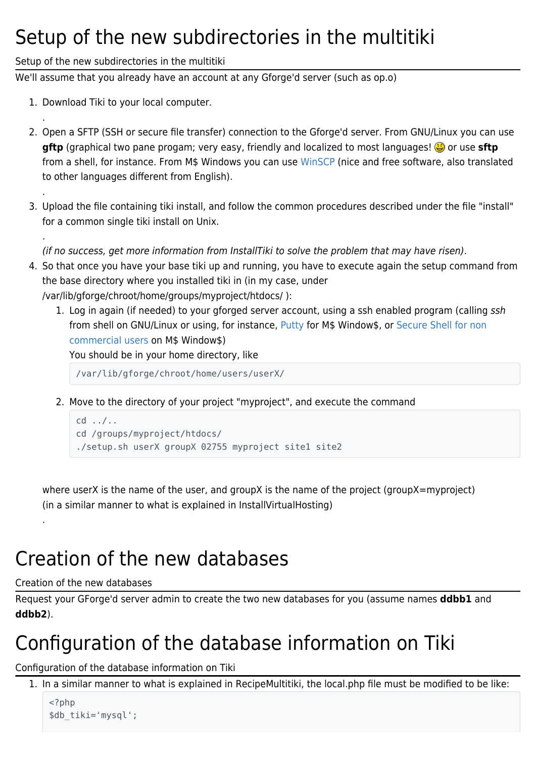#### Setup of the new subdirectories in the multitiki

#### Setup of the new subdirectories in the multitiki

We'll assume that you already have an account at any Gforge'd server (such as op.o)

1. Download Tiki to your local computer.

.

.

.

- 2. Open a SFTP (SSH or secure file transfer) connection to the Gforge'd server. From GNU/Linux you can use gftp (graphical two pane progam; very easy, friendly and localized to most languages! **@** or use **sftp** from a shell, for instance. From M\$ Windows you can use [WinSCP](http://www.winscp.org/) (nice and free software, also translated to other languages different from English).
- 3. Upload the file containing tiki install, and follow the common procedures described under the file "install" for a common single tiki install on Unix.

(if no success, get more information from InstallTiki to solve the problem that may have risen).

- 4. So that once you have your base tiki up and running, you have to execute again the setup command from the base directory where you installed tiki in (in my case, under /var/lib/gforge/chroot/home/groups/myproject/htdocs/ ):
	- 1. Log in again (if needed) to your gforged server account, using a ssh enabled program (calling ssh from shell on GNU/Linux or using, for instance, [Putty](http://www.chiark.greenend.org.uk/~sgtatham/putty/) for M\$ Window\$, or [Secure Shell for non](http://www.ssh.com/support/downloads/secureshellwks/non-commercial.html) [commercial users](http://www.ssh.com/support/downloads/secureshellwks/non-commercial.html) on M\$ Window\$)

You should be in your home directory, like

/var/lib/gforge/chroot/home/users/userX/

2. Move to the directory of your project "myproject", and execute the command

```
cd ../..
cd /groups/myproject/htdocs/
./setup.sh userX groupX 02755 myproject site1 site2
```
where userX is the name of the user, and groupX is the name of the project (groupX=myproject) (in a similar manner to what is explained in InstallVirtualHosting)

# Creation of the new databases

#### Creation of the new databases

.

Request your GForge'd server admin to create the two new databases for you (assume names **ddbb1** and **ddbb2**).

# Configuration of the database information on Tiki

Configuration of the database information on Tiki

1. In a similar manner to what is explained in RecipeMultitiki, the local.php file must be modified to be like:

```
<?php
$db_tiki='mysql';
```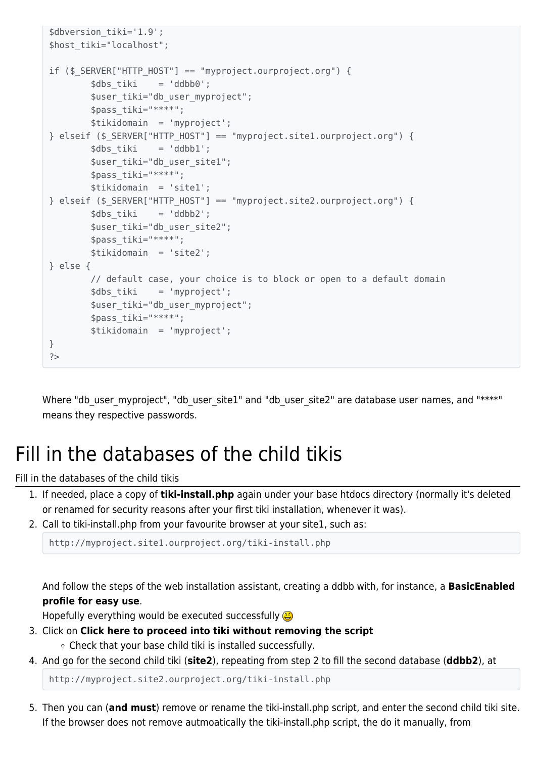```
$dbversion_tiki='1.9';
$host tiki="localhost";
if ($_SERVER["HTTP_HOST"] == "myproject.ourproject.org") {
         $dbs_tiki = 'ddbb0';
        $user tiki="db user myproject";
         $pass_tiki="****";
         $tikidomain = 'myproject';
} elseif ($_SERVER["HTTP_HOST"] == "myproject.site1.ourproject.org") {
       \daggerdbs tiki = 'ddbb1';
        $user_tiki="db_user_site1";
         $pass_tiki="****";
         $tikidomain = 'site1';
} elseif ($ SERVER["HTTP HOST"] == "myproject.site2.ourproject.org") {
        sdbs tiki = 'ddbb2';
        $user tiki="db user site2";
         $pass_tiki="****";
         $tikidomain = 'site2';
} else {
         // default case, your choice is to block or open to a default domain
         $dbs_tiki = 'myproject';
         $user_tiki="db_user_myproject";
         $pass_tiki="****";
         $tikidomain = 'myproject';
}
?>
```
Where "db\_user\_myproject", "db\_user\_site1" and "db\_user\_site2" are database user names, and "\*\*\*\*" means they respective passwords.

### Fill in the databases of the child tikis

Fill in the databases of the child tikis

- 1. If needed, place a copy of **tiki-install.php** again under your base htdocs directory (normally it's deleted or renamed for security reasons after your first tiki installation, whenever it was).
- 2. Call to tiki-install.php from your favourite browser at your site1, such as:

http://myproject.site1.ourproject.org/tiki-install.php

And follow the steps of the web installation assistant, creating a ddbb with, for instance, a **BasicEnabled profile for easy use**.

Hopefully everything would be executed successfully

- 3. Click on **Click here to proceed into tiki without removing the script** Check that your base child tiki is installed successfully.
- 4. And go for the second child tiki (**site2**), repeating from step 2 to fill the second database (**ddbb2**), at

http://myproject.site2.ourproject.org/tiki-install.php

5. Then you can (**and must**) remove or rename the tiki-install.php script, and enter the second child tiki site. If the browser does not remove autmoatically the tiki-install.php script, the do it manually, from